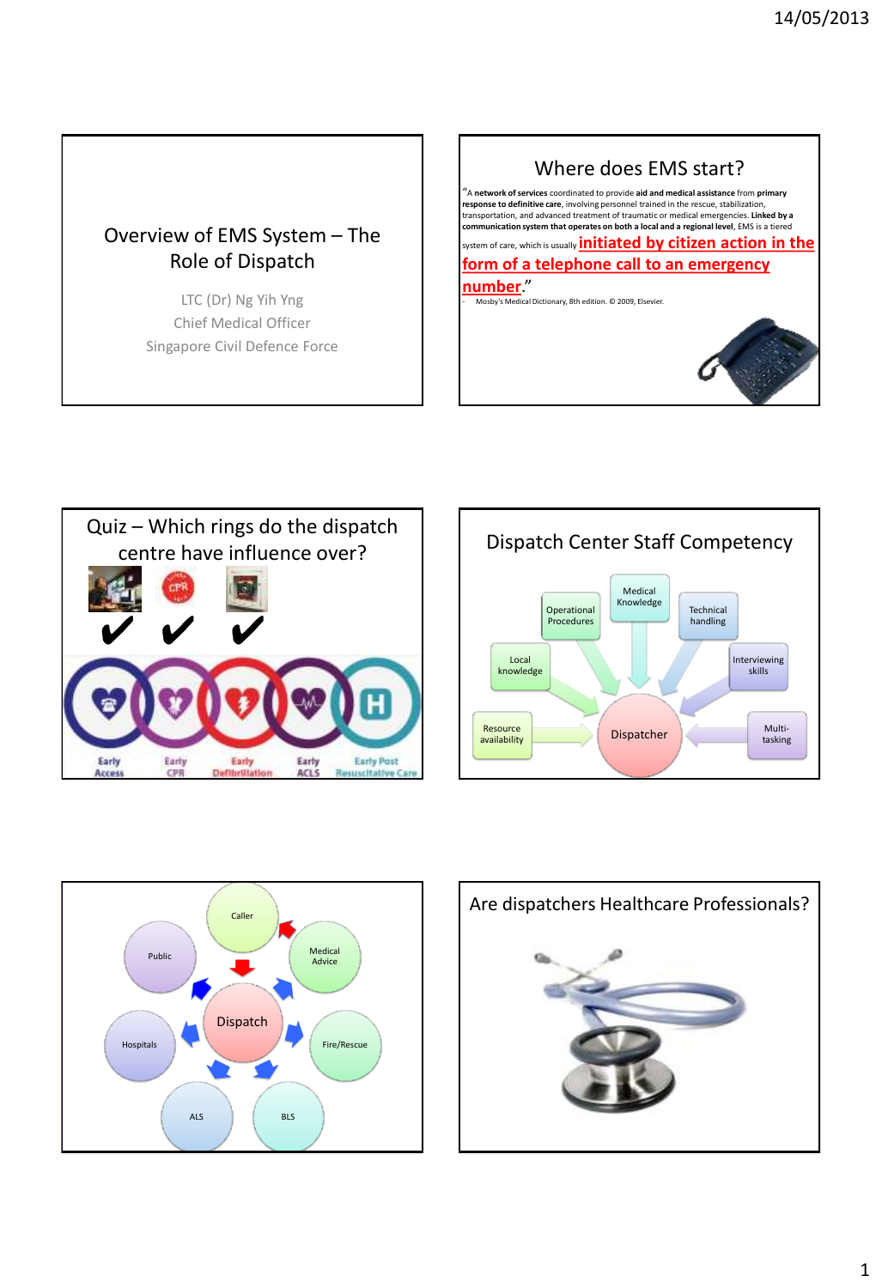## Overview of EMS System – The Role of Dispatch

LTC (Dr) Ng Yih Yng Chief Medical Officer Singapore Civil Defence Force









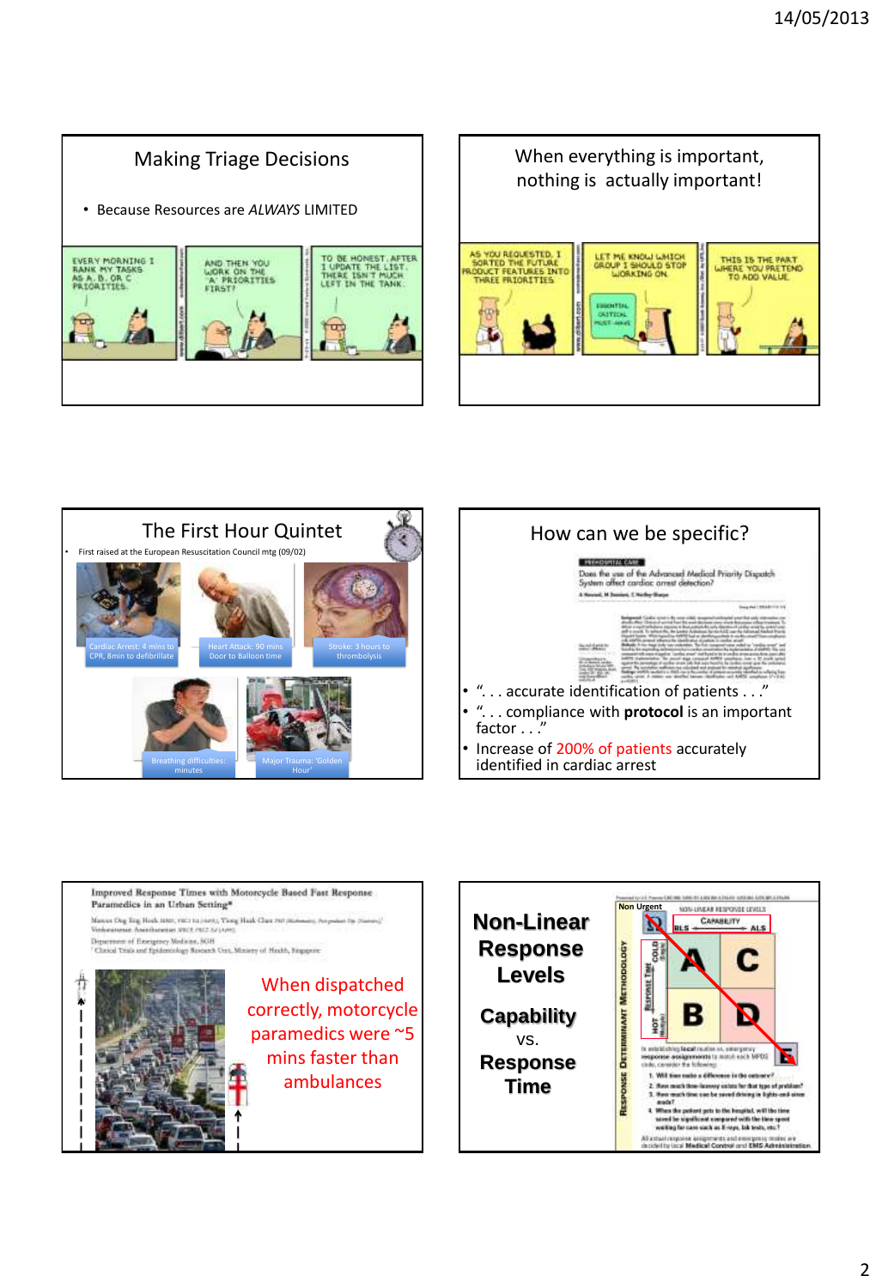# Making Triage Decisions

• Because Resources are *ALWAYS* LIMITED









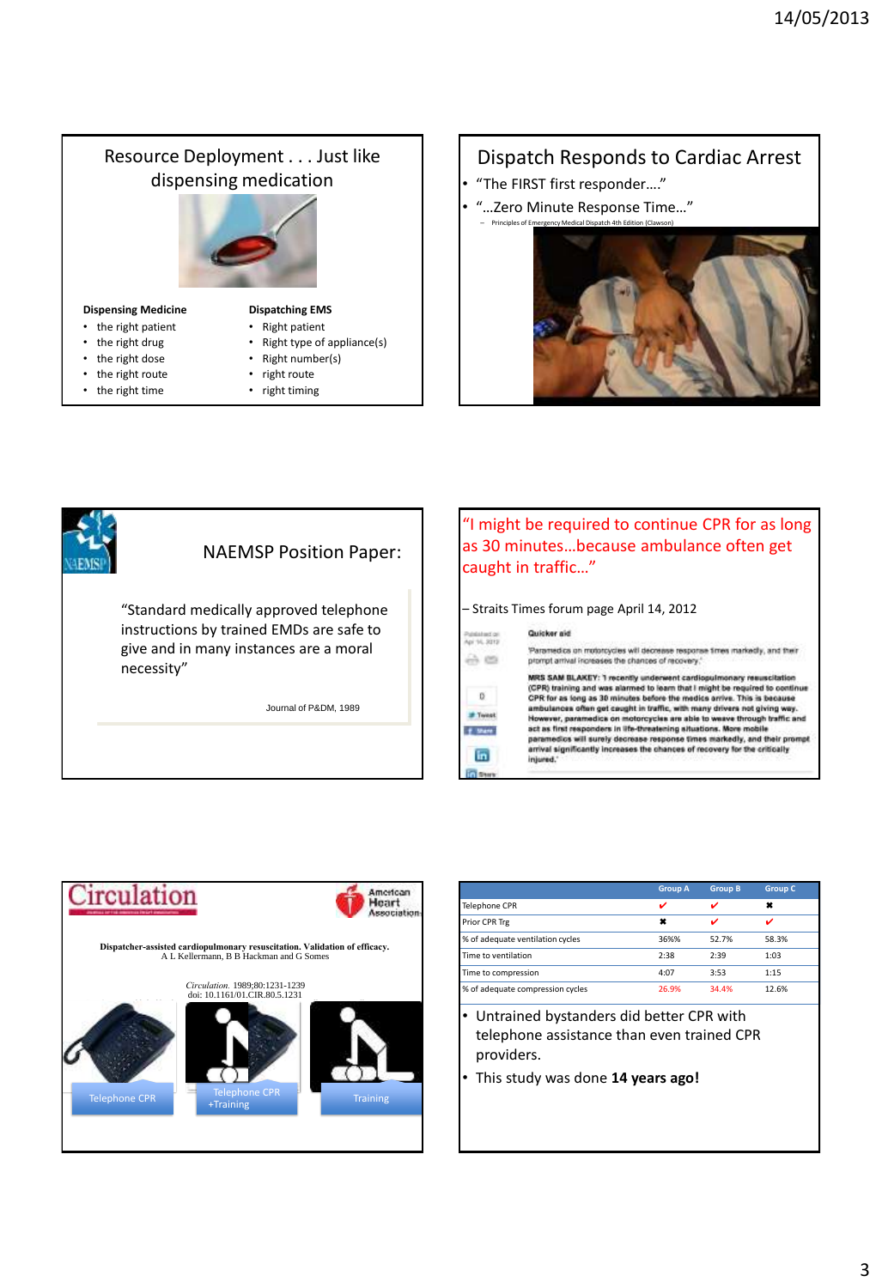# Resource Deployment . . . Just like dispensing medication **Dispensing Medicine** • the right patient **Dispatching EMS** • Right patient

- the right drug
- the right dose
- the right route
- the right time
- Right type of appliance(s)
- Right number(s)
- right route
- right timing

### Dispatch Responds to Cardiac Arrest

- "The FIRST first responder…."
- "…Zero Minute Response Time…"





#### "I might be required to continue CPR for as long as 30 minutes…because ambulance often get caught in traffic…"

#### – Straits Times forum page April 14, 2012



"Paramedics on motorcycles will decrease response times markedly, and their<br>prompt arrival increases the chances of recovery,"

MRS SAM BLAKEY: 1 recently underwent cardiopu scitation ary res meas and successful containing and was alarmed to learn that I might be required to continue<br>CPR for as long as 30 minutes before the medica arrive. This is because<br>ambulances offen get caught in traffic, with many drivers However, paramedica on motorcycles are able to weave through traffic and<br>act as first responders in life-threatening attuations. More mobile<br>paramedics will surely decrease response times markedly, and their prompt arrival significantly increases the chances of recovery for the critically injı



|                                  | <b>Group A</b> | <b>Group B</b> | <b>Group C</b> |
|----------------------------------|----------------|----------------|----------------|
| Telephone CPR                    | ✓              |                | ×              |
| Prior CPR Trg                    | ×              |                | ✓              |
| % of adequate ventilation cycles | 36%%           | 52.7%          | 58.3%          |
| Time to ventilation              | 2:38           | 2:39           | 1:03           |
| Time to compression              | 4:07           | 3:53           | 1:15           |
| % of adequate compression cycles | 26.9%          | 34.4%          | 12.6%          |

- Untrained bystanders did better CPR with telephone assistance than even trained CPR providers.
- This study was done **14 years ago!**